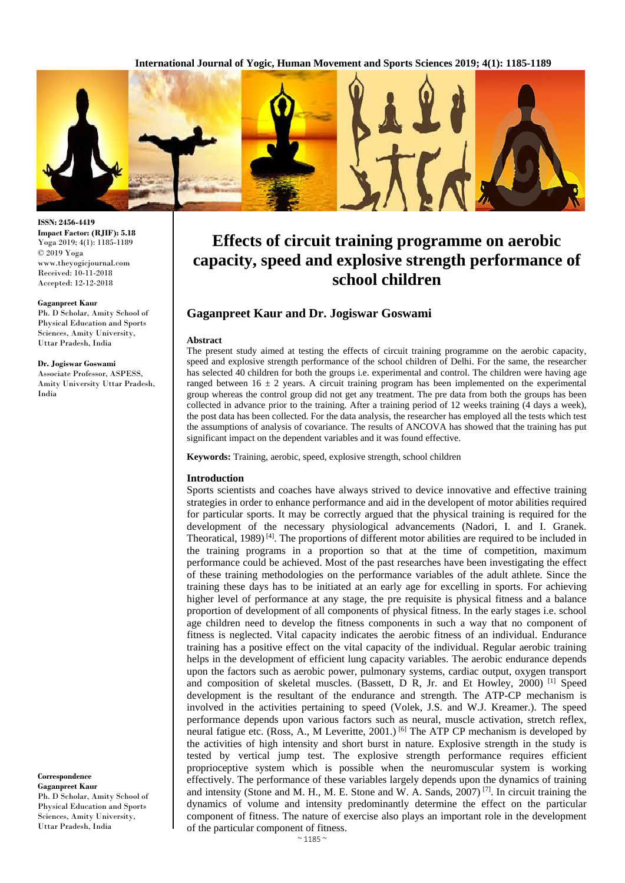**International Journal of Yogic, Human Movement and Sports Sciences 2019; 4(1): 1185-1189**



# **Effects of circuit training programme on aerobic capacity, speed and explosive strength performance of school children**

# **Gaganpreet Kaur and Dr. Jogiswar Goswami**

#### **Abstract**

The present study aimed at testing the effects of circuit training programme on the aerobic capacity, speed and explosive strength performance of the school children of Delhi. For the same, the researcher has selected 40 children for both the groups i.e. experimental and control. The children were having age ranged between  $16 \pm 2$  years. A circuit training program has been implemented on the experimental group whereas the control group did not get any treatment. The pre data from both the groups has been collected in advance prior to the training. After a training period of 12 weeks training (4 days a week), the post data has been collected. For the data analysis, the researcher has employed all the tests which test the assumptions of analysis of covariance. The results of ANCOVA has showed that the training has put significant impact on the dependent variables and it was found effective.

**Keywords:** Training, aerobic, speed, explosive strength, school children

#### **Introduction**

Sports scientists and coaches have always strived to device innovative and effective training strategies in order to enhance performance and aid in the developent of motor abilities required for particular sports. It may be correctly argued that the physical training is required for the development of the necessary physiological advancements (Nadori, I. and I. Granek. Theoratical,  $1989$ <sup>[4]</sup>. The proportions of different motor abilities are required to be included in the training programs in a proportion so that at the time of competition, maximum performance could be achieved. Most of the past researches have been investigating the effect of these training methodologies on the performance variables of the adult athlete. Since the training these days has to be initiated at an early age for excelling in sports. For achieving higher level of performance at any stage, the pre requisite is physical fitness and a balance proportion of development of all components of physical fitness. In the early stages i.e. school age children need to develop the fitness components in such a way that no component of fitness is neglected. Vital capacity indicates the aerobic fitness of an individual. Endurance training has a positive effect on the vital capacity of the individual. Regular aerobic training helps in the development of efficient lung capacity variables. The aerobic endurance depends upon the factors such as aerobic power, pulmonary systems, cardiac output, oxygen transport and composition of skeletal muscles. (Bassett, D R, Jr. and Et Howley, 2000) [1] Speed development is the resultant of the endurance and strength. The ATP-CP mechanism is involved in the activities pertaining to speed (Volek, J.S. and W.J. Kreamer.). The speed performance depends upon various factors such as neural, muscle activation, stretch reflex, neural fatigue etc. (Ross, A., M Leveritte, 2001.)<sup>[6]</sup> The ATP CP mechanism is developed by the activities of high intensity and short burst in nature. Explosive strength in the study is tested by vertical jump test. The explosive strength performance requires efficient proprioceptive system which is possible when the neuromuscular system is working effectively. The performance of these variables largely depends upon the dynamics of training and intensity (Stone and M. H., M. E. Stone and W. A. Sands, 2007)<sup>[7]</sup>. In circuit training the dynamics of volume and intensity predominantly determine the effect on the particular component of fitness. The nature of exercise also plays an important role in the development of the particular component of fitness.

**ISSN: 2456-4419 Impact Factor: (RJIF): 5.18** Yoga 2019; 4(1): 1185-1189 © 2019 Yoga www.theyogicjournal.com Received: 10-11-2018 Accepted: 12-12-2018

#### **Gaganpreet Kaur**

Ph. D Scholar, Amity School of Physical Education and Sports Sciences, Amity University, Uttar Pradesh, India

#### **Dr. Jogiswar Goswami**

Associate Professor, ASPESS, Amity University Uttar Pradesh, India

**Correspondence Gaganpreet Kaur** Ph. D Scholar, Amity School of Physical Education and Sports Sciences, Amity University, Uttar Pradesh, India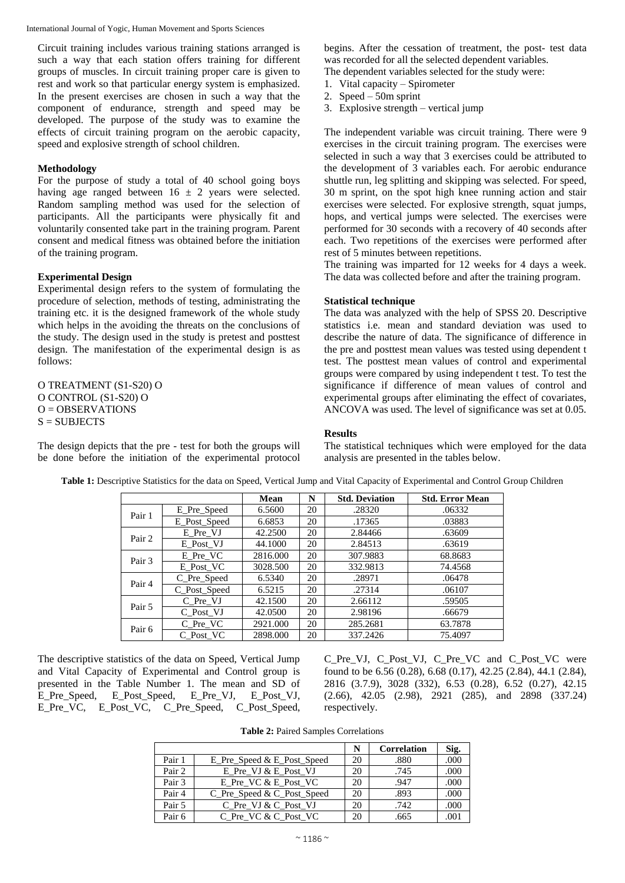Circuit training includes various training stations arranged is such a way that each station offers training for different groups of muscles. In circuit training proper care is given to rest and work so that particular energy system is emphasized. In the present exercises are chosen in such a way that the component of endurance, strength and speed may be developed. The purpose of the study was to examine the effects of circuit training program on the aerobic capacity, speed and explosive strength of school children.

# **Methodology**

For the purpose of study a total of 40 school going boys having age ranged between  $16 \pm 2$  years were selected. Random sampling method was used for the selection of participants. All the participants were physically fit and voluntarily consented take part in the training program. Parent consent and medical fitness was obtained before the initiation of the training program.

# **Experimental Design**

Experimental design refers to the system of formulating the procedure of selection, methods of testing, administrating the training etc. it is the designed framework of the whole study which helps in the avoiding the threats on the conclusions of the study. The design used in the study is pretest and posttest design. The manifestation of the experimental design is as follows:

O TREATMENT (S1-S20) O O CONTROL (S1-S20) O  $O =$  OBSERVATIONS  $S =$  SUBJECTS

The design depicts that the pre - test for both the groups will be done before the initiation of the experimental protocol begins. After the cessation of treatment, the post- test data was recorded for all the selected dependent variables. The dependent variables selected for the study were:

- 1. Vital capacity Spirometer
- 2. Speed 50m sprint
- 3. Explosive strength vertical jump

The independent variable was circuit training. There were 9 exercises in the circuit training program. The exercises were selected in such a way that 3 exercises could be attributed to the development of 3 variables each. For aerobic endurance shuttle run, leg splitting and skipping was selected. For speed, 30 m sprint, on the spot high knee running action and stair exercises were selected. For explosive strength, squat jumps, hops, and vertical jumps were selected. The exercises were performed for 30 seconds with a recovery of 40 seconds after each. Two repetitions of the exercises were performed after rest of 5 minutes between repetitions.

The training was imparted for 12 weeks for 4 days a week. The data was collected before and after the training program.

## **Statistical technique**

The data was analyzed with the help of SPSS 20. Descriptive statistics i.e. mean and standard deviation was used to describe the nature of data. The significance of difference in the pre and posttest mean values was tested using dependent t test. The posttest mean values of control and experimental groups were compared by using independent t test. To test the significance if difference of mean values of control and experimental groups after eliminating the effect of covariates, ANCOVA was used. The level of significance was set at 0.05.

## **Results**

The statistical techniques which were employed for the data analysis are presented in the tables below.

|        |              | <b>Mean</b> | N  | <b>Std. Deviation</b> | <b>Std. Error Mean</b> |
|--------|--------------|-------------|----|-----------------------|------------------------|
| Pair 1 | E Pre Speed  | 6.5600      | 20 | .28320                | .06332                 |
|        | E Post Speed | 6.6853      | 20 | .17365                | .03883                 |
| Pair 2 | E Pre VJ     | 42.2500     | 20 | 2.84466               | .63609                 |
|        | E Post VJ    | 44.1000     | 20 | 2.84513               | .63619                 |
|        | E Pre VC     | 2816.000    | 20 | 307.9883              | 68.8683                |
| Pair 3 | E Post VC    | 3028.500    | 20 | 332.9813              | 74.4568                |
| Pair 4 | C_Pre_Speed  | 6.5340      | 20 | .28971                | .06478                 |
|        | C_Post_Speed | 6.5215      | 20 | .27314                | .06107                 |
| Pair 5 | C Pre VJ     | 42.1500     | 20 | 2.66112               | .59505                 |
|        | C Post VJ    | 42.0500     | 20 | 2.98196               | .66679                 |
| Pair 6 | C Pre VC     | 2921.000    | 20 | 285.2681              | 63.7878                |
|        | C Post VC    | 2898.000    | 20 | 337.2426              | 75.4097                |

**Table 1:** Descriptive Statistics for the data on Speed, Vertical Jump and Vital Capacity of Experimental and Control Group Children

The descriptive statistics of the data on Speed, Vertical Jump and Vital Capacity of Experimental and Control group is presented in the Table Number 1. The mean and SD of E\_Pre\_Speed, E\_Post\_Speed, E\_Pre\_VJ, E\_Post\_VJ, E\_Pre\_VC, E\_Post\_VC, C\_Pre\_Speed, C\_Post\_Speed,

C\_Pre\_VJ, C\_Post\_VJ, C\_Pre\_VC\_and C\_Post\_VC\_were found to be 6.56 (0.28), 6.68 (0.17), 42.25 (2.84), 44.1 (2.84), 2816 (3.7.9), 3028 (332), 6.53 (0.28), 6.52 (0.27), 42.15 (2.66), 42.05 (2.98), 2921 (285), and 2898 (337.24) respectively.

**Table 2:** Paired Samples Correlations

|        |                            | N  | <b>Correlation</b> | Sig. |
|--------|----------------------------|----|--------------------|------|
| Pair 1 | E Pre Speed & E Post Speed | 20 | .880               | .000 |
| Pair 2 | E Pre VJ & E Post VJ       | 20 | .745               | .000 |
| Pair 3 | E Pre VC & E Post VC       | 20 | .947               | .000 |
| Pair 4 | C_Pre_Speed & C_Post_Speed | 20 | .893               | .000 |
| Pair 5 | C Pre VJ & C Post VJ       | 20 | .742               | .000 |
| Pair 6 | C Pre VC & C Post VC       | 20 | .665               | .001 |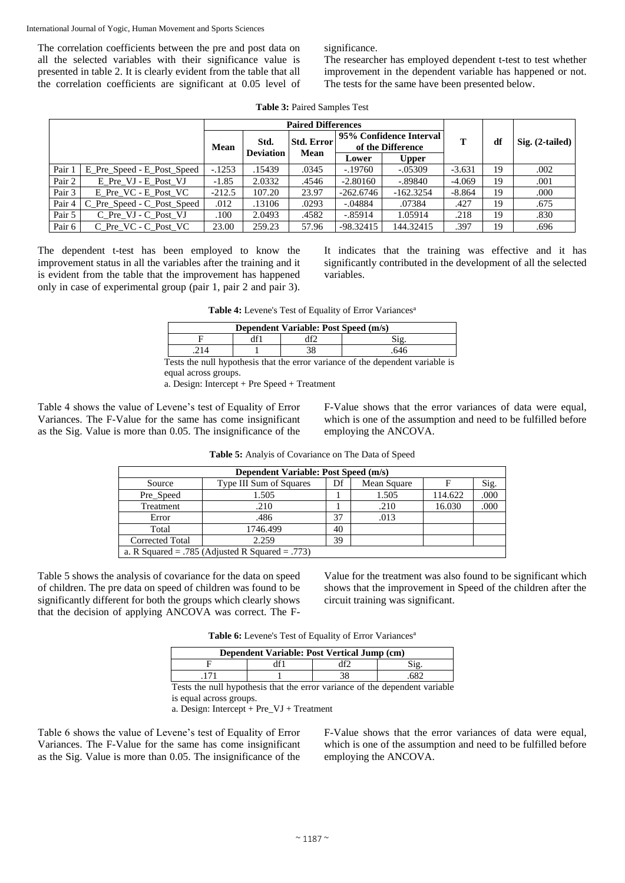The correlation coefficients between the pre and post data on all the selected variables with their significance value is presented in table 2. It is clearly evident from the table that all the correlation coefficients are significant at 0.05 level of significance.

The researcher has employed dependent t-test to test whether improvement in the dependent variable has happened or not. The tests for the same have been presented below.

|  | <b>Table 3: Paired Samples Test</b> |  |
|--|-------------------------------------|--|
|  |                                     |  |

|        |                            | <b>Paired Differences</b>        |        |                   |                                              |              |          |    |                   |
|--------|----------------------------|----------------------------------|--------|-------------------|----------------------------------------------|--------------|----------|----|-------------------|
|        |                            | Std.<br>Mean<br><b>Deviation</b> |        | <b>Std. Error</b> | 95% Confidence Interval<br>of the Difference |              | т        | df | $Sig. (2-tailed)$ |
|        |                            |                                  |        | <b>Mean</b>       | Lower                                        | <b>Upper</b> |          |    |                   |
| Pair 1 | E Pre Speed - E Post Speed | $-.1253$                         | .15439 | .0345             | $-.19760$                                    | $-.05309$    | $-3.631$ | 19 | .002              |
| Pair 2 | E Pre VJ - E Post VJ       | $-1.85$                          | 2.0332 | .4546             | $-2.80160$                                   | $-.89840$    | $-4.069$ | 19 | .001              |
| Pair 3 | E Pre VC - E Post VC       | $-212.5$                         | 107.20 | 23.97             | $-262.6746$                                  | $-162.3254$  | $-8.864$ | 19 | .000              |
| Pair 4 | C_Pre_Speed - C_Post_Speed | .012                             | .13106 | .0293             | $-.04884$                                    | .07384       | .427     | 19 | .675              |
| Pair 5 | C Pre VJ - C Post VJ       | .100                             | 2.0493 | .4582             | $-.85914$                                    | 1.05914      | .218     | 19 | .830              |
| Pair 6 | C Pre VC - C Post VC       | 23.00                            | 259.23 | 57.96             | $-98.32415$                                  | 144.32415    | .397     | 19 | .696              |

The dependent t-test has been employed to know the improvement status in all the variables after the training and it is evident from the table that the improvement has happened only in case of experimental group (pair 1, pair 2 and pair 3).

It indicates that the training was effective and it has significantly contributed in the development of all the selected variables.

Table 4: Levene's Test of Equality of Error Variances<sup>a</sup>

| Dependent Variable: Post Speed (m/s)                                           |  |  |      |  |  |  |
|--------------------------------------------------------------------------------|--|--|------|--|--|--|
| df1<br>Sig.                                                                    |  |  |      |  |  |  |
| .214                                                                           |  |  | .646 |  |  |  |
| Tests the null hypothesis that the error variance of the dependent variable is |  |  |      |  |  |  |

equal across groups.

a. Design: Intercept + Pre Speed + Treatment

Table 4 shows the value of Levene's test of Equality of Error Variances. The F-Value for the same has come insignificant as the Sig. Value is more than 0.05. The insignificance of the F-Value shows that the error variances of data were equal, which is one of the assumption and need to be fulfilled before employing the ANCOVA.

| Dependent Variable: Post Speed (m/s) |                                                 |    |             |         |      |  |  |  |
|--------------------------------------|-------------------------------------------------|----|-------------|---------|------|--|--|--|
| Source                               | Type III Sum of Squares                         | Df | Mean Square |         | Sig. |  |  |  |
| Pre_Speed                            | 1.505                                           |    | 1.505       | 114.622 | .000 |  |  |  |
| Treatment                            | .210                                            |    | .210        | 16.030  | .000 |  |  |  |
| Error                                | .486                                            | 37 | .013        |         |      |  |  |  |
| Total                                | 1746.499                                        | 40 |             |         |      |  |  |  |
| <b>Corrected Total</b>               | 2.259                                           | 39 |             |         |      |  |  |  |
|                                      | a. R Squared = .785 (Adjusted R Squared = .773) |    |             |         |      |  |  |  |

**Table 5:** Analyis of Covariance on The Data of Speed

Table 5 shows the analysis of covariance for the data on speed of children. The pre data on speed of children was found to be significantly different for both the groups which clearly shows that the decision of applying ANCOVA was correct. The F-

Value for the treatment was also found to be significant which shows that the improvement in Speed of the children after the circuit training was significant.

Table 6: Levene's Test of Equality of Error Variances<sup>a</sup>

| Dependent Variable: Post Vertical Jump (cm) |  |  |  |  |  |
|---------------------------------------------|--|--|--|--|--|
|                                             |  |  |  |  |  |
|                                             |  |  |  |  |  |

Tests the null hypothesis that the error variance of the dependent variable is equal across groups.

a. Design: Intercept + Pre\_VJ + Treatment

Table 6 shows the value of Levene's test of Equality of Error Variances. The F-Value for the same has come insignificant as the Sig. Value is more than 0.05. The insignificance of the F-Value shows that the error variances of data were equal, which is one of the assumption and need to be fulfilled before employing the ANCOVA.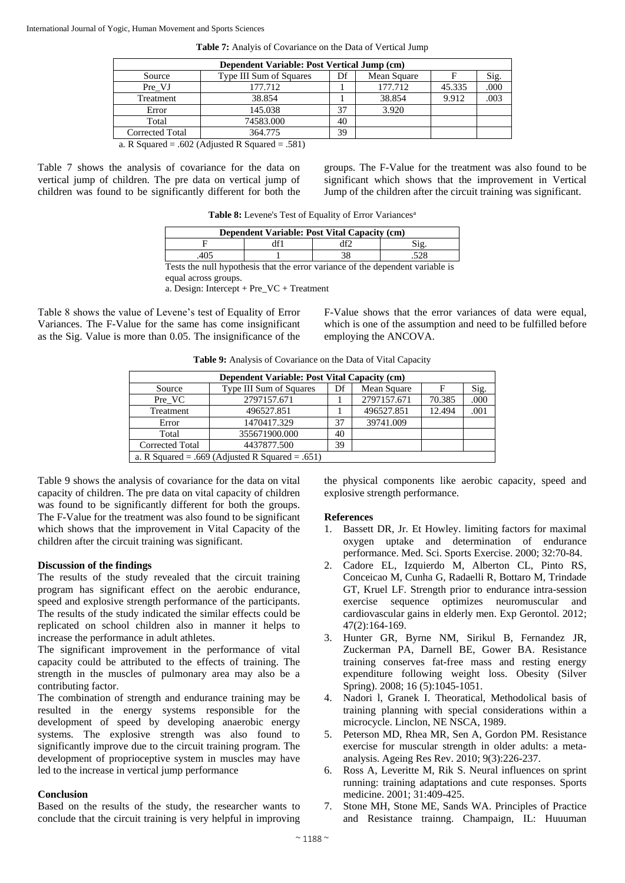| Dependent Variable: Post Vertical Jump (cm) |                         |    |             |        |      |  |
|---------------------------------------------|-------------------------|----|-------------|--------|------|--|
| Source                                      | Type III Sum of Squares | Df | Mean Square |        | Sig. |  |
| Pre VJ                                      | 177.712                 |    | 177.712     | 45.335 | .000 |  |
| Treatment                                   | 38.854                  |    | 38.854      | 9.912  | .003 |  |
| Error                                       | 145.038                 | 37 | 3.920       |        |      |  |
| Total                                       | 74583.000               | 40 |             |        |      |  |
| Corrected Total                             | 364.775                 | 39 |             |        |      |  |
| $\mathbf{r}$ $\alpha$                       | $\sim$ $\sim$ $\sim$    |    |             |        |      |  |

**Table 7:** Analyis of Covariance on the Data of Vertical Jump

a. R Squared = .602 (Adjusted R Squared = .581)

Table 7 shows the analysis of covariance for the data on vertical jump of children. The pre data on vertical jump of children was found to be significantly different for both the groups. The F-Value for the treatment was also found to be significant which shows that the improvement in Vertical Jump of the children after the circuit training was significant.

|  | Table 8: Levene's Test of Equality of Error Variances <sup>a</sup> |
|--|--------------------------------------------------------------------|
|--|--------------------------------------------------------------------|

| Dependent Variable: Post Vital Capacity (cm) |  |  |  |  |  |
|----------------------------------------------|--|--|--|--|--|
|                                              |  |  |  |  |  |
|                                              |  |  |  |  |  |

Tests the null hypothesis that the error variance of the dependent variable is equal across groups.

a. Design: Intercept + Pre\_VC + Treatment

Table 8 shows the value of Levene's test of Equality of Error Variances. The F-Value for the same has come insignificant as the Sig. Value is more than 0.05. The insignificance of the F-Value shows that the error variances of data were equal, which is one of the assumption and need to be fulfilled before employing the ANCOVA.

**Table 9:** Analysis of Covariance on the Data of Vital Capacity

|                        | <b>Dependent Variable: Post Vital Capacity (cm)</b> |    |             |        |      |  |  |  |  |
|------------------------|-----------------------------------------------------|----|-------------|--------|------|--|--|--|--|
| Source                 | Type III Sum of Squares                             | Df | Mean Square | F      | Sig. |  |  |  |  |
| Pre VC                 | 2797157.671                                         |    | 2797157.671 | 70.385 | .000 |  |  |  |  |
| Treatment              | 496527.851                                          |    | 496527.851  | 12.494 | .001 |  |  |  |  |
| Error                  | 1470417.329                                         | 37 | 39741.009   |        |      |  |  |  |  |
| Total                  | 355671900.000                                       | 40 |             |        |      |  |  |  |  |
| <b>Corrected Total</b> | 4437877.500                                         | 39 |             |        |      |  |  |  |  |
|                        | a. R Squared = .669 (Adjusted R Squared = .651)     |    |             |        |      |  |  |  |  |

Table 9 shows the analysis of covariance for the data on vital capacity of children. The pre data on vital capacity of children was found to be significantly different for both the groups. The F-Value for the treatment was also found to be significant which shows that the improvement in Vital Capacity of the children after the circuit training was significant.

### **Discussion of the findings**

The results of the study revealed that the circuit training program has significant effect on the aerobic endurance, speed and explosive strength performance of the participants. The results of the study indicated the similar effects could be replicated on school children also in manner it helps to increase the performance in adult athletes.

The significant improvement in the performance of vital capacity could be attributed to the effects of training. The strength in the muscles of pulmonary area may also be a contributing factor.

The combination of strength and endurance training may be resulted in the energy systems responsible for the development of speed by developing anaerobic energy systems. The explosive strength was also found to significantly improve due to the circuit training program. The development of proprioceptive system in muscles may have led to the increase in vertical jump performance

# **Conclusion**

Based on the results of the study, the researcher wants to conclude that the circuit training is very helpful in improving

the physical components like aerobic capacity, speed and explosive strength performance.

# **References**

- 1. Bassett DR, Jr. Et Howley. limiting factors for maximal oxygen uptake and determination of endurance performance. Med. Sci. Sports Exercise. 2000; 32:70-84.
- 2. Cadore EL, Izquierdo M, Alberton CL, Pinto RS, Conceicao M, Cunha G, Radaelli R, Bottaro M, Trindade GT, Kruel LF. Strength prior to endurance intra-session exercise sequence optimizes neuromuscular and cardiovascular gains in elderly men. Exp Gerontol. 2012; 47(2):164-169.
- 3. Hunter GR, Byrne NM, Sirikul B, Fernandez JR, Zuckerman PA, Darnell BE, Gower BA. Resistance training conserves fat-free mass and resting energy expenditure following weight loss. Obesity (Silver Spring). 2008; 16 (5):1045-1051.
- 4. Nadori l, Granek I. Theoratical, Methodolical basis of training planning with special considerations within a microcycle. Linclon, NE NSCA, 1989.
- 5. Peterson MD, Rhea MR, Sen A, Gordon PM. Resistance exercise for muscular strength in older adults: a metaanalysis. Ageing Res Rev. 2010; 9(3):226-237.
- 6. Ross A, Leveritte M, Rik S. Neural influences on sprint running: training adaptations and cute responses. Sports medicine. 2001; 31:409-425.
- 7. Stone MH, Stone ME, Sands WA. Principles of Practice and Resistance trainng. Champaign, IL: Huuuman